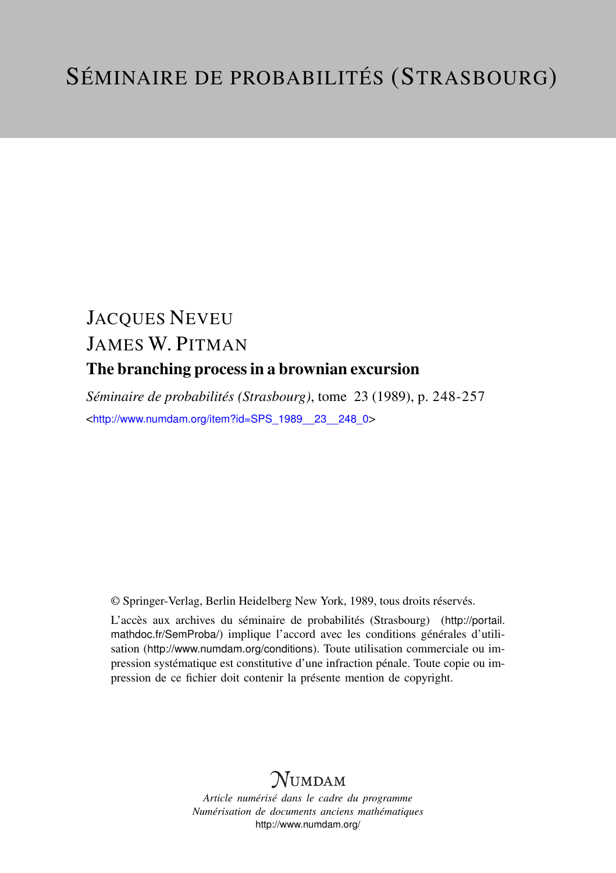# JACQUES NEVEU JAMES W. PITMAN The branching process in a brownian excursion

*Séminaire de probabilités (Strasbourg)*, tome 23 (1989), p. 248-257 <[http://www.numdam.org/item?id=SPS\\_1989\\_\\_23\\_\\_248\\_0](http://www.numdam.org/item?id=SPS_1989__23__248_0)>

© Springer-Verlag, Berlin Heidelberg New York, 1989, tous droits réservés.

L'accès aux archives du séminaire de probabilités (Strasbourg) ([http://portail.](http://portail.mathdoc.fr/SemProba/) [mathdoc.fr/SemProba/](http://portail.mathdoc.fr/SemProba/)) implique l'accord avec les conditions générales d'utilisation (<http://www.numdam.org/conditions>). Toute utilisation commerciale ou impression systématique est constitutive d'une infraction pénale. Toute copie ou impression de ce fichier doit contenir la présente mention de copyright.

## **NUMDAM**

*Article numérisé dans le cadre du programme Numérisation de documents anciens mathématiques* <http://www.numdam.org/>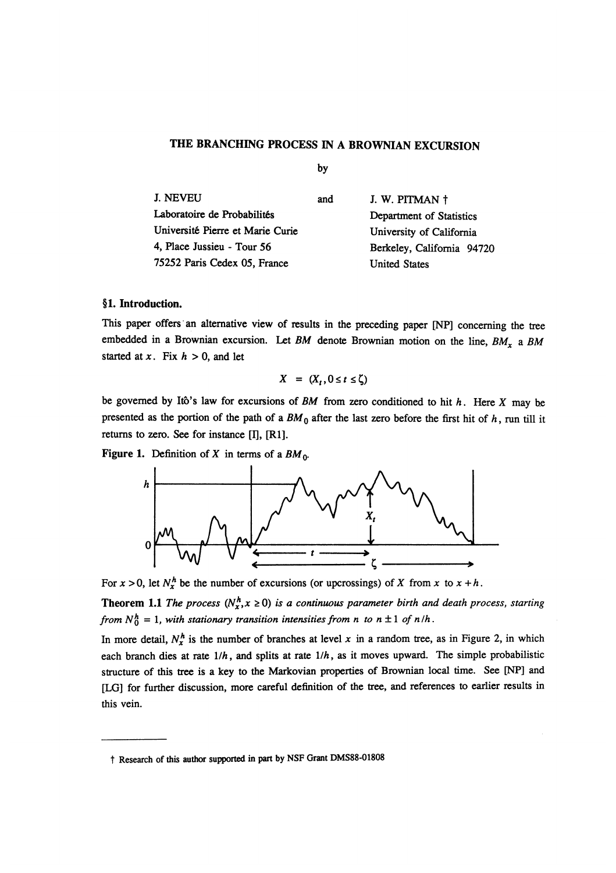### THE BRANCHING PROCESS IN A BROWNIAN EXCURSION

by

| J. NEVEU                         | and | J. W. PITMAN †             |  |
|----------------------------------|-----|----------------------------|--|
| Laboratoire de Probabilités      |     | Department of Statistics   |  |
| Université Pierre et Marie Curie |     | University of California   |  |
| 4, Place Jussieu - Tour 56       |     | Berkeley, California 94720 |  |
| 75252 Paris Cedex 05, France     |     | <b>United States</b>       |  |

#### §1. Introduction.

This paper offers an alternative view of results in the preceding paper [NP] concerning the tree embedded in a Brownian excursion. Let BM denote Brownian motion on the line,  $BM_x$  a BM started at x. Fix  $h > 0$ , and let

$$
X = (X_t, 0 \le t \le \zeta)
$$

be governed by Itô's law for excursions of BM from zero conditioned to hit  $h$ . Here X may be presented as the portion of the path of a  $BM_0$  after the last zero before the first hit of h, run till it returns to zero. See for instance  $[I]$ ,  $[R1]$ .

Figure 1. Definition of X in terms of a  $BM_0$ .



For  $x > 0$ , let  $N_x^h$  be the number of excursions (or upcrossings) of X from x to  $x + h$ .

**Theorem 1.1** The process ( $N_x^h$ ,  $x \ge 0$ ) is a continuous parameter birth and death process, starting from  $N_0^h = 1$ , with stationary transition intensities from n to  $n \pm 1$  of  $n/h$ .

In more detail,  $N_r^h$  is the number of branches at level x in a random tree, as in Figure 2, in which each branch dies at rate  $1/h$ , and splits at rate  $1/h$ , as it moves upward. The simple probabilistic structure of this tree is a key to the Markovian properties of Brownian local time. See [NP] and [LG] for further discussion, more careful definition of the tree, and references to earlier results in this vein.

t Research of this author supported in part by NSF Grant DMS88-01808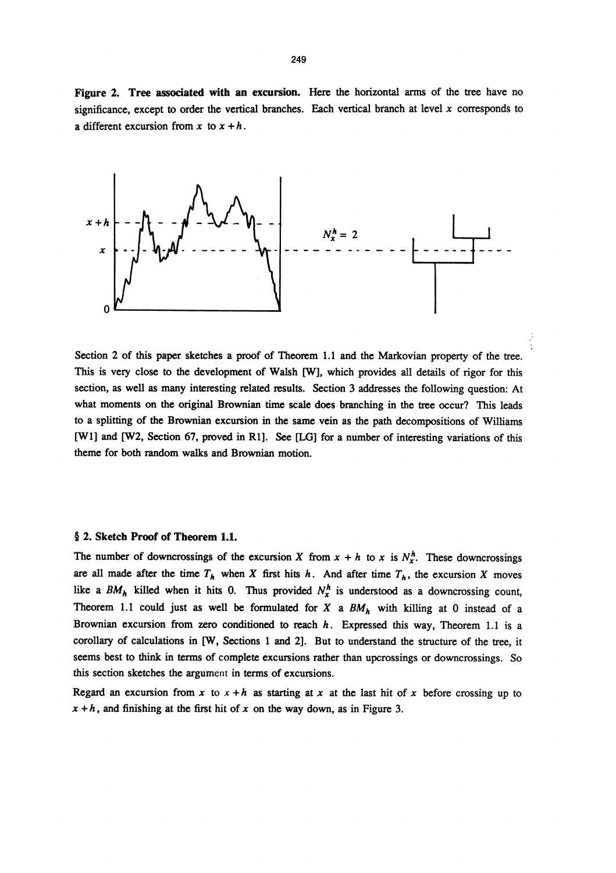Figure 2. Tree associated with an excursion. Here the horizontal arms of the tree have no significance, except to order the vertical branches. Each vertical branch at level  $x$  corresponds to a different excursion from x to  $x + h$ .



Section 2 of this paper sketches a proof of Theorem 1.1 and the Markovian property of the tree. This is very close to the development of Walsh [W], which provides all details of rigor for this section, as well as many interesting related results. Section 3 addresses the following question: At what moments on the original Brownian time scale does branching in the tree occur? This leads to a splitting of the Brownian excursion in the same vein as the path decompositions of Williams [WI] and [W2, Section 67, proved in Rl]. See [LG] for a number of interesting variations of this theme for both random walks and Brownian motion.

#### § 2. Sketch Proof of Theorem 1.1.

The number of downcrossings of the excursion X from  $x + h$  to x is  $N_x^h$ . These downcrossings are all made after the time  $T_h$  when X first hits h. And after time  $T_h$ , the excursion X moves like a  $BM_h$  killed when it hits 0. Thus provided  $N_x^h$  is understood as a downcrossing count, Theorem 1.1 could just as well be formulated for X a  $BM_h$  with killing at 0 instead of a Brownian excursion from zero conditioned to reach  $h$ . Expressed this way, Theorem 1.1 is a corollary of calculations in [W, Sections 1 and 2]. But to understand the structure of the tree, it seems best to think in terms of complete excursions rather than upcrossings or downcrossings. So this section sketches the argument in terms of excursions.

Regard an excursion from x to  $x + h$  as starting at x at the last hit of x before crossing up to  $x + h$ , and finishing at the first hit of x on the way down, as in Figure 3.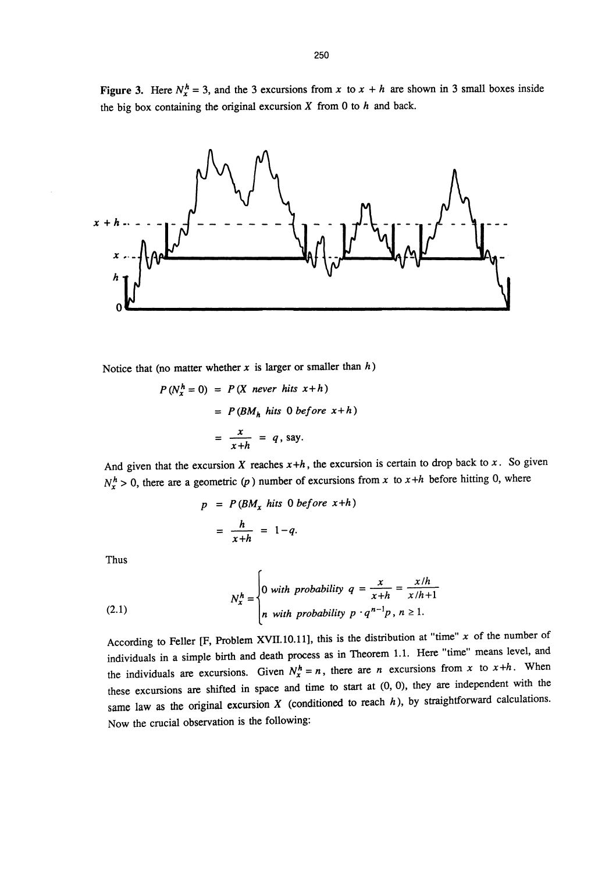Figure 3. Here  $N_x^h = 3$ , and the 3 excursions from x to  $x + h$  are shown in 3 small boxes inside the big box containing the original excursion  $X$  from 0 to  $h$  and back.



Notice that (no matter whether x is larger or smaller than  $h$ )

$$
P(N_x^h = 0) = P(X \text{ never hits } x + h)
$$
  
=  $P(BM_h \text{ hits } 0 \text{ before } x + h)$   
=  $\frac{x}{x + h} = q$ , say.

And given that the excursion X reaches  $x+h$ , the excursion is certain to drop back to x. So given  $N_x^h > 0$ , there are a geometric (p) number of excursions from x to  $x + h$  before hitting 0, where

$$
p = P(BM_x \text{ hits } 0 \text{ before } x+h)
$$

$$
= \frac{h}{x+h} = 1-q.
$$

Thus

(2.1) 
$$
N_x^h = \begin{cases} 0 & \text{with probability } q = \frac{x}{x+h} = \frac{x/h}{x/h+1} \\ n & \text{with probability } p \cdot q^{n-1}p, n \ge 1. \end{cases}
$$

According to Feller [F, Problem XVII.10.11], this is the distribution at "time"  $x$  of the number of individuals in a simple birth and death process as in Theorem 1.1. Here "time" means level, and the individuals are excursions. Given  $N_x^h = n$ , there are n excursions from x to  $x+h$ . When these excursions are shifted in space and time to start at (0, 0), they are independent with the same law as the original excursion  $X$  (conditioned to reach  $h$ ), by straightforward calculations. Now the crucial observation is the following: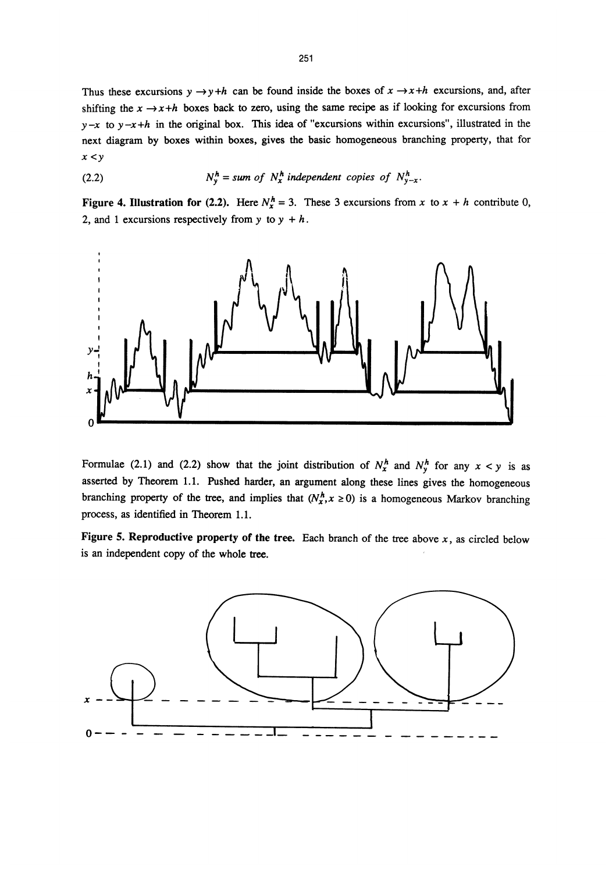Thus these excursions  $y \rightarrow y+h$  can be found inside the boxes of  $x \rightarrow x+h$  excursions, and, after shifting the  $x \rightarrow x+h$  boxes back to zero, using the same recipe as if looking for excursions from  $y-x$  to  $y-x+h$  in the original box. This idea of "excursions within excursions", illustrated in the next diagram by boxes within boxes, gives the basic homogeneous branching property, that for  $x < y$ 

(2.2) 
$$
N_y^h = sum \ of \ N_x^h \ independent \ copies \ of \ N_{y-x}^h.
$$

Figure 4. Illustration for (2.2). Here  $N_x^h = 3$ . These 3 excursions from x to  $x + h$  contribute 0, 2, and 1 excursions respectively from y to  $y + h$ .



Formulae (2.1) and (2.2) show that the joint distribution of  $N_x^h$  and  $N_y^h$  for any  $x < y$  is as asserted by Theorem 1.1. Pushed harder, an argument along these lines gives the homogeneous branching property of the tree, and implies that  $(N_x^h, x \ge 0)$  is a homogeneous Markov branching process, as identified in Theorem 1.1. .

Figure 5. Reproductive property of the tree. Each branch of the tree above  $x$ , as circled below is an independent copy of the whole tree.

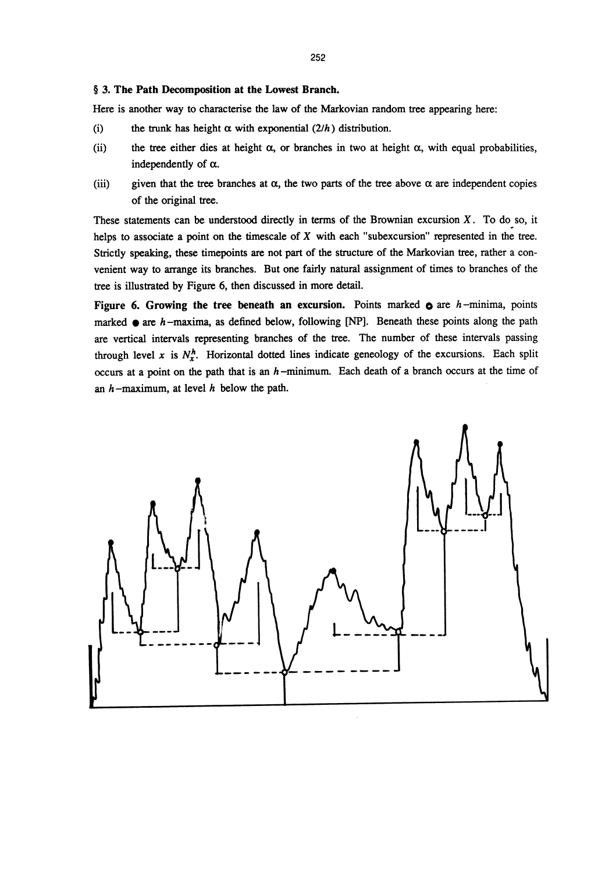#### § 3. The Path Decomposition at the Lowest Branch.

Here is another way to characterise the law of the Markovian random tree appearing here:

- (i) the trunk has height  $\alpha$  with exponential (2/h) distribution.
- (ii) the tree either dies at height  $\alpha$ , or branches in two at height  $\alpha$ , with equal probabilities, independently of  $\alpha$ .
- (iii) given that the tree branches at  $\alpha$ , the two parts of the tree above  $\alpha$  are independent copies of the original tree.

These statements can be understood directly in terms of the Brownian excursion  $X$ . To do so, it helps to associate a point on the timescale of  $X$  with each "subexcursion" represented in the tree. Strictly speaking, these timepoints are not part of the structure of the Markovian tree, rather a convenient way to arrange its branches. But one fairly natural assignment of times to branches of the tree is illustrated by Figure 6, then discussed in more detail.

Figure 6. Growing the tree beneath an excursion. Points marked  $\phi$  are h-minima, points marked  $\bullet$  are  $h$ -maxima, as defined below, following [NP]. Beneath these points along the path are vertical intervals representing branches of the tree. The number of these intervals passing through level x is  $N_x^h$ . Horizontal dotted lines indicate geneology of the excursions. Each split occurs at a point on the path that is an  $h$ -minimum. Each death of a branch occurs at the time of an  $h$ -maximum, at level  $h$  below the path.

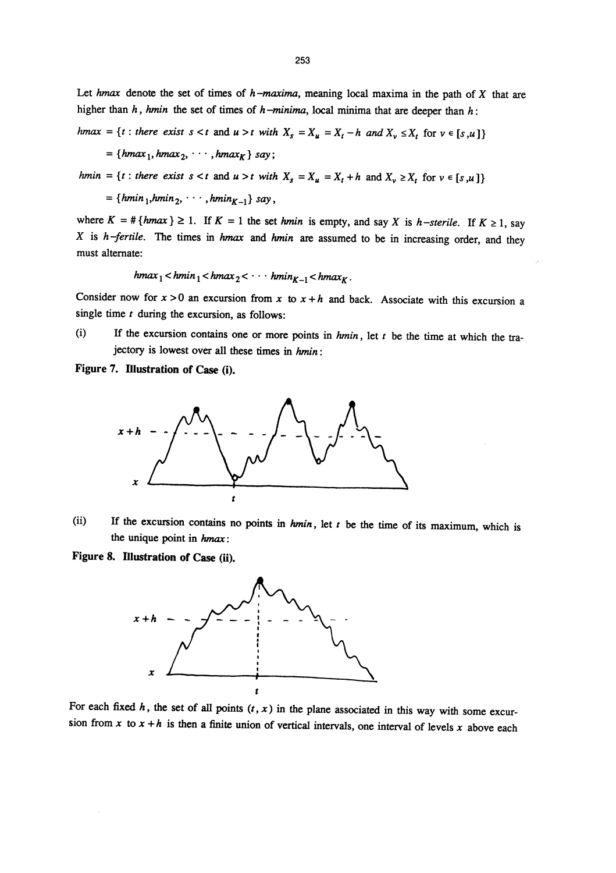Let hmax denote the set of times of h-maxima, meaning local maxima in the path of X that are higher than h, hmin the set of times of h-minima, local minima that are deeper than h:

hmax = {t : there exist  $s < t$  and  $u > t$  with  $X_s = X_u = X_t - h$  and  $X_v \le X_t$  for  $v \in [s, u]$ }

 $\{mmax_1, mnmax_2, \ldots, mnmax_K\}$  say;

hmin = {t : there exist  $s < t$  and  $u > t$  with  $X_s = X_u = X_t + h$  and  $X_v \ge X_t$  for  $v \in [s, u]$ }

= { $hmin_1, hmin_2, \cdots, hmin_{K-1}$ } say,

where  $K = # \{ hmax \} \ge 1$ . If  $K = 1$  the set hmin is empty, and say X is h-sterile. If  $K \ge 1$ , say X is  $h$ -fertile. The times in hmax and hmin are assumed to be in increasing order, and they must alternate:

$$
hmax_1 < hmin_1 < hmax_2 < \cdots hmin_{K-1} < hmax_K.
$$

Consider now for  $x > 0$  an excursion from x to  $x + h$  and back. Associate with this excursion a single time  $t$  during the excursion, as follows:

(i) If the excursion contains one or more points in  $hmin$ , let  $t$  be the time at which the trajectory is lowest over all these times in hmin:

Figure 7. Illustration of Case (i).



(ii) If the excursion contains no points in  $hmin$ , let  $t$  be the time of its maximum, which is the unique point in hmax:

Figure 8. Illustration of Case (ii).



For each fixed  $h$ , the set of all points  $(t, x)$  in the plane associated in this way with some excursion from x to  $x + h$  is then a finite union of vertical intervals, one interval of levels x above each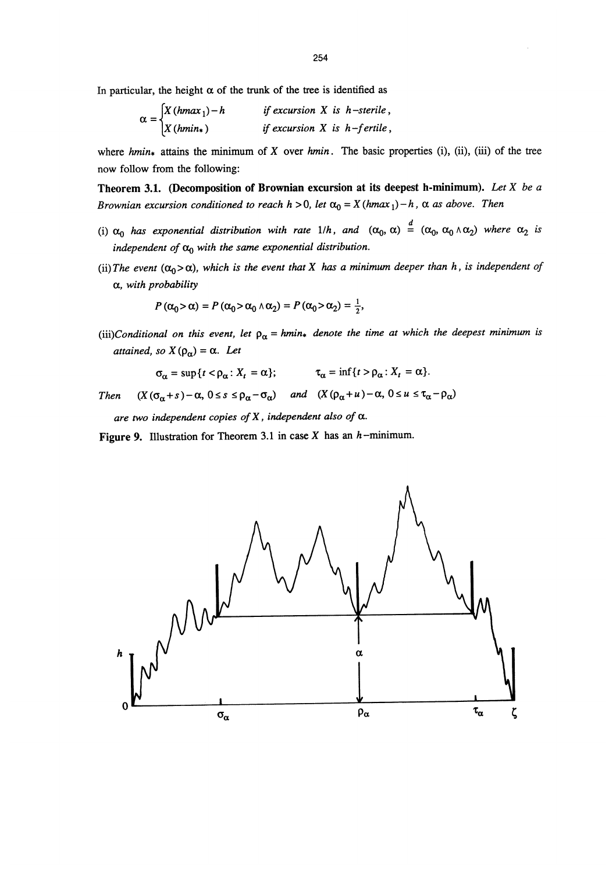In particular, the height  $\alpha$  of the trunk of the tree is identified as

$$
\alpha = \begin{cases} X(hmax_1) - h & \text{if excursion X is } h \text{--sterile,} \\ X(hmin_*) & \text{if excursion X is } h \text{--fertile,} \end{cases}
$$

where hmin<sub>\*</sub> attains the minimum of X over hmin. The basic properties (i), (ii), (iii) of the tree now follow from the following:

Theorem 3.1. (Decomposition of Brownian excursion at its deepest h-minimum). Let X be a Brownian excursion conditioned to reach  $h > 0$ , let  $\alpha_0 = X(hmax_1) - h$ ,  $\alpha$  as above. Then

- (i)  $\alpha_0$  has exponential distribution with rate 1/h, and  $(\alpha_0, \alpha) \stackrel{d}{=} (\alpha_0, \alpha_0 \wedge \alpha_2)$  where  $\alpha_2$  is independent of  $\alpha_0$  with the same exponential distribution.
- (ii) The event  $(\alpha_0 > \alpha)$ , which is the event that X has a minimum deeper than h, is independent of  $\alpha$ , with probability

$$
P(\alpha_0 > \alpha) = P(\alpha_0 > \alpha_0 \wedge \alpha_2) = P(\alpha_0 > \alpha_2) = \frac{1}{2},
$$

(iii)Conditional on this event, let  $\rho_{\alpha} = hmin_{*}$  denote the time at which the deepest minimum is attained, so  $X(\rho_{\alpha}) = \alpha$ . Let

$$
\sigma_{\alpha} = \sup \{ t < \rho_{\alpha} \colon X_t = \alpha \}; \qquad \qquad \tau_{\alpha} = \inf \{ t > \rho_{\alpha} \colon X_t = \alpha \}.
$$

Then  $(X(\sigma_{\alpha}+s)-\alpha, 0 \leq s \leq \rho_{\alpha}-\sigma_{\alpha})$  and  $(X(\rho_{\alpha}+u)-\alpha, 0 \leq u \leq \tau_{\alpha}-\rho_{\alpha})$ 

are two independent copies of X, independent also of  $\alpha$ .

Figure 9. Illustration for Theorem 3.1 in case  $X$  has an  $h$ -minimum.

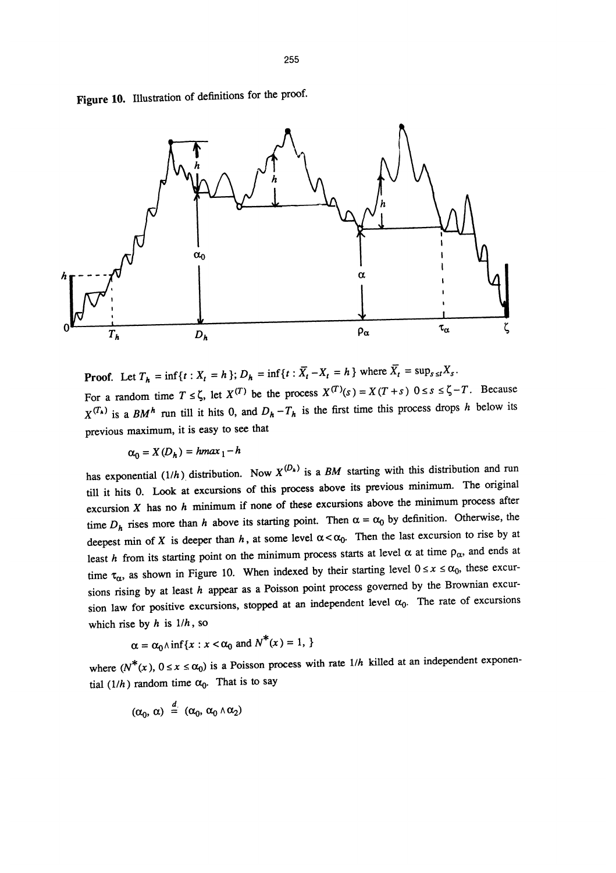Figure 10. Illustration of definitions for the proof.



**Proof.** Let  $T_h = \inf\{t : X_t = h\}$ ;  $D_h = \inf\{t : \overline{X}_t - X_t = h\}$  where  $\overline{X}_t = \sup_{s \le t} X_s$ . For a random time  $T \le \zeta$ , let  $X^{(T)}$  be the process  $X^{(T)}(s) = X(T + s)$   $0 \le s \le \zeta - T$ . Because  $X^{(T_k)}$  is a BM<sup>h</sup> run till it hits 0, and  $D_h - T_h$  is the first time this process drops h below its previous maximum, it is easy to see that

$$
\alpha_0 = X(D_h) = h \max_1 - h
$$

has exponential (1/h) distribution. Now  $X^{(D_k)}$  is a BM starting with this distribution and run till it hits 0. Look at excursions of this process above its previous minimum. The original excursion  $X$  has no  $h$  minimum if none of these excursions above the minimum process after time  $D_h$  rises more than h above its starting point. Then  $\alpha = \alpha_0$  by definition. Otherwise, the deepest min of X is deeper than h, at some level  $\alpha < \alpha_0$ . Then the last excursion to rise by at least h from its starting point on the minimum process starts at level  $\alpha$  at time  $\rho_{\alpha}$ , and ends at time  $\tau_{\alpha}$ , as shown in Figure 10. When indexed by their starting level  $0 \le x \le \alpha_0$ , these excursions rising by at least  $h$  appear as a Poisson point process governed by the Brownian excursion law for positive excursions, stopped at an independent level  $\alpha_0$ . The rate of excursions which rise by  $h$  is  $1/h$ , so

$$
\alpha = \alpha_0 \wedge \inf \{ x : x < \alpha_0 \text{ and } N^*(x) = 1, \}
$$

where  $(N^*(x), 0 \le x \le \alpha_0)$  is a Poisson process with rate  $1/h$  killed at an independent exponential (1/h) random time  $\alpha_0$ . That is to say

$$
(\alpha_0, \alpha) \stackrel{d}{=} (\alpha_0, \alpha_0 \wedge \alpha_2)
$$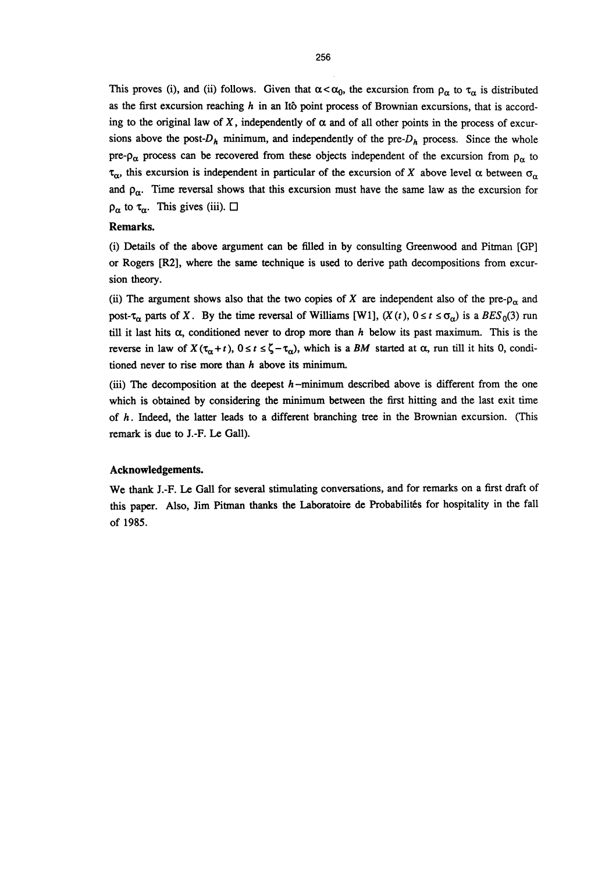This proves (i), and (ii) follows. Given that  $\alpha < \alpha_0$ , the excursion from  $\rho_\alpha$  to  $\tau_\alpha$  is distributed as the first excursion reaching  $h$  in an Itô point process of Brownian excursions, that is according to the original law of X, independently of  $\alpha$  and of all other points in the process of excursions above the post- $D_h$  minimum, and independently of the pre- $D_h$  process. Since the whole pre- $\rho_{\alpha}$  process can be recovered from these objects independent of the excursion from  $\rho_{\alpha}$  to  $\tau_{\alpha}$ , this excursion is independent in particular of the excursion of X above level  $\alpha$  between  $\sigma_{\alpha}$ and  $\rho_{\alpha}$ . Time reversal shows that this excursion must have the same law as the excursion for  $\rho_{\alpha}$  to  $\tau_{\alpha}$ . This gives (iii).  $\Box$ 

#### Remarks.

(i) Details of the above argument can be filled in by consulting Greenwood and Pitman [GP] or Rogers [R2], where the same technique is used to derive path decompositions from excursion theory.

(ii) The argument shows also that the two copies of X are independent also of the pre- $\rho_{\alpha}$  and post- $\tau_{\alpha}$  parts of X. By the time reversal of Williams [W1],  $(X(t), 0 \le t \le \sigma_{\alpha})$  is a  $BES_0(3)$  run till it last hits  $\alpha$ , conditioned never to drop more than h below its past maximum. This is the reverse in law of  $X(\tau_{\alpha}+t)$ ,  $0 \le t \le \zeta - \tau_{\alpha}$ , which is a BM started at  $\alpha$ , run till it hits 0, conditioned never to rise more than  $h$  above its minimum.

(iii) The decomposition at the deepest  $h$ -minimum described above is different from the one which is obtained by considering the minimum between the first hitting and the last exit time of  $h$ . Indeed, the latter leads to a different branching tree in the Brownian excursion. (This remark is due to J.-F. Le Gall).

#### Acknowledgements.

We thank J.-F. Le Gall for several stimulating conversations, and for remarks on a first draft of this paper. Also, Jim Pitman thanks the Laboratoire de Probabilités for hospitality in the fall of 1985.